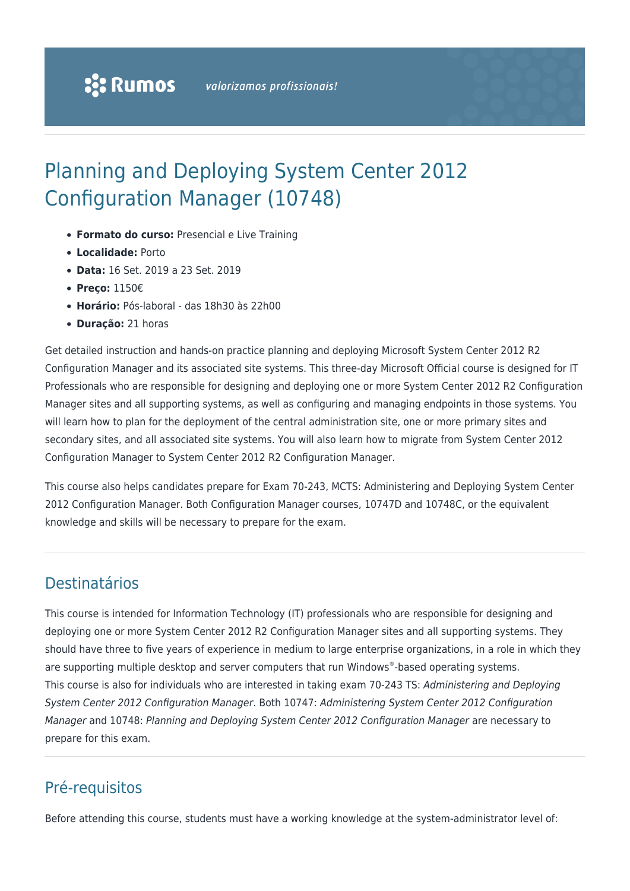# Planning and Deploying System Center 2012 Configuration Manager (10748)

- **Formato do curso:** Presencial e Live Training
- **Localidade:** Porto
- **Data:** 16 Set. 2019 a 23 Set. 2019
- **Preço:** 1150€
- **Horário:** Pós-laboral das 18h30 às 22h00
- **Duração:** 21 horas

Get detailed instruction and hands-on practice planning and deploying Microsoft System Center 2012 R2 Configuration Manager and its associated site systems. This three-day Microsoft Official course is designed for IT Professionals who are responsible for designing and deploying one or more System Center 2012 R2 Configuration Manager sites and all supporting systems, as well as configuring and managing endpoints in those systems. You will learn how to plan for the deployment of the central administration site, one or more primary sites and secondary sites, and all associated site systems. You will also learn how to migrate from System Center 2012 Configuration Manager to System Center 2012 R2 Configuration Manager.

This course also helps candidates prepare for Exam 70-243, MCTS: Administering and Deploying System Center 2012 Configuration Manager. Both Configuration Manager courses, 10747D and 10748C, or the equivalent knowledge and skills will be necessary to prepare for the exam.

# Destinatários

This course is intended for Information Technology (IT) professionals who are responsible for designing and deploying one or more System Center 2012 R2 Configuration Manager sites and all supporting systems. They should have three to five years of experience in medium to large enterprise organizations, in a role in which they are supporting multiple desktop and server computers that run Windows®-based operating systems. This course is also for individuals who are interested in taking exam 70-243 TS: Administering and Deploying System Center 2012 Configuration Manager. Both 10747: Administering System Center 2012 Configuration Manager and 10748: Planning and Deploying System Center 2012 Configuration Manager are necessary to prepare for this exam.

### Pré-requisitos

Before attending this course, students must have a working knowledge at the system-administrator level of: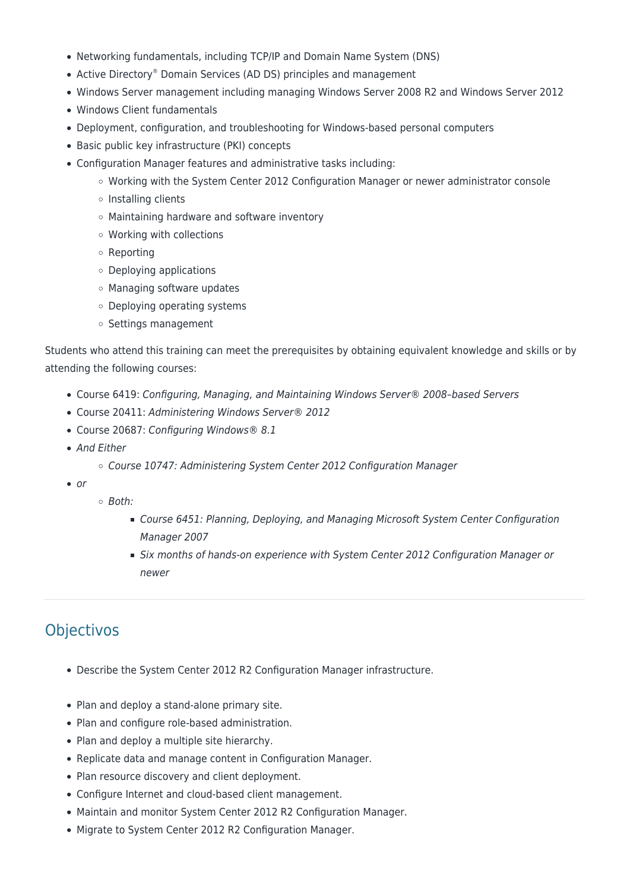- Networking fundamentals, including TCP/IP and Domain Name System (DNS)
- Active Directory® Domain Services (AD DS) principles and management
- Windows Server management including managing Windows Server 2008 R2 and Windows Server 2012
- Windows Client fundamentals
- Deployment, configuration, and troubleshooting for Windows-based personal computers
- Basic public key infrastructure (PKI) concepts
- Configuration Manager features and administrative tasks including:
	- Working with the System Center 2012 Configuration Manager or newer administrator console
	- $\circ$  Installing clients
	- Maintaining hardware and software inventory
	- Working with collections
	- Reporting
	- Deploying applications
	- Managing software updates
	- Deploying operating systems
	- o Settings management

Students who attend this training can meet the prerequisites by obtaining equivalent knowledge and skills or by attending the following courses:

- Course 6419: Configuring, Managing, and Maintaining Windows Server® 2008–based Servers
- Course 20411: Administering Windows Server® 2012
- Course 20687: Configuring Windows® 8.1
- And Either
	- Course 10747: Administering System Center 2012 Configuration Manager
- $\bullet$  or
- Both:
	- Course 6451: Planning, Deploying, and Managing Microsoft System Center Configuration Manager 2007
	- Six months of hands-on experience with System Center 2012 Configuration Manager or newer

# **Objectivos**

- Describe the System Center 2012 R2 Configuration Manager infrastructure.
- Plan and deploy a stand-alone primary site.
- Plan and configure role-based administration.
- Plan and deploy a multiple site hierarchy.
- Replicate data and manage content in Configuration Manager.
- Plan resource discovery and client deployment.
- Configure Internet and cloud-based client management.
- Maintain and monitor System Center 2012 R2 Configuration Manager.
- Migrate to System Center 2012 R2 Configuration Manager.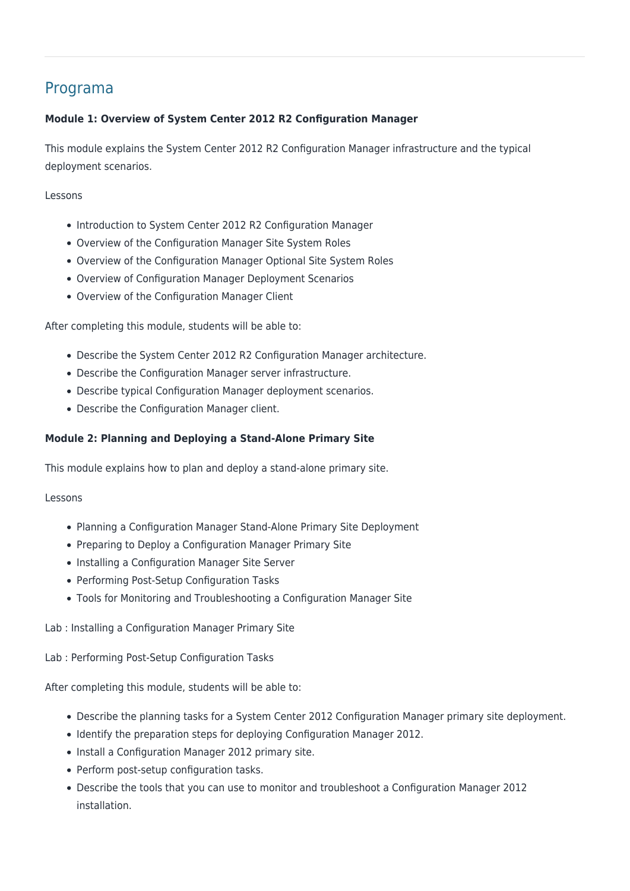# Programa

#### **Module 1: Overview of System Center 2012 R2 Configuration Manager**

This module explains the System Center 2012 R2 Configuration Manager infrastructure and the typical deployment scenarios.

#### Lessons

- Introduction to System Center 2012 R2 Configuration Manager
- Overview of the Configuration Manager Site System Roles
- Overview of the Configuration Manager Optional Site System Roles
- Overview of Configuration Manager Deployment Scenarios
- Overview of the Configuration Manager Client

After completing this module, students will be able to:

- Describe the System Center 2012 R2 Configuration Manager architecture.
- Describe the Configuration Manager server infrastructure.
- Describe typical Configuration Manager deployment scenarios.
- Describe the Configuration Manager client.

#### **Module 2: Planning and Deploying a Stand-Alone Primary Site**

This module explains how to plan and deploy a stand-alone primary site.

#### Lessons

- Planning a Configuration Manager Stand-Alone Primary Site Deployment
- Preparing to Deploy a Configuration Manager Primary Site
- Installing a Configuration Manager Site Server
- Performing Post-Setup Configuration Tasks
- Tools for Monitoring and Troubleshooting a Configuration Manager Site

Lab : Installing a Configuration Manager Primary Site

Lab : Performing Post-Setup Configuration Tasks

After completing this module, students will be able to:

- Describe the planning tasks for a System Center 2012 Configuration Manager primary site deployment.
- Identify the preparation steps for deploying Configuration Manager 2012.
- Install a Configuration Manager 2012 primary site.
- Perform post-setup configuration tasks.
- Describe the tools that you can use to monitor and troubleshoot a Configuration Manager 2012 installation.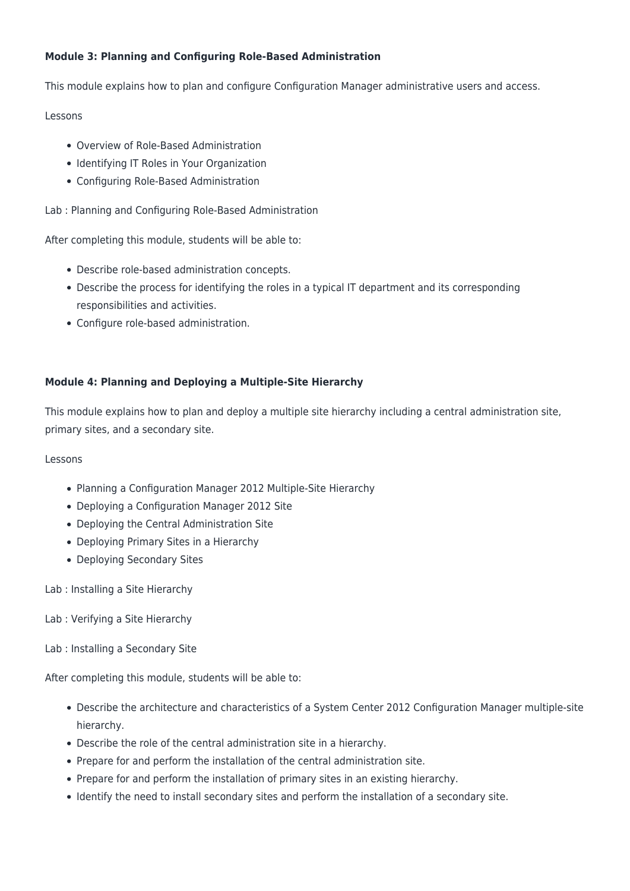#### **Module 3: Planning and Configuring Role-Based Administration**

This module explains how to plan and configure Configuration Manager administrative users and access.

#### Lessons

- Overview of Role-Based Administration
- Identifying IT Roles in Your Organization
- Configuring Role-Based Administration

Lab : Planning and Configuring Role-Based Administration

After completing this module, students will be able to:

- Describe role-based administration concepts.
- Describe the process for identifying the roles in a typical IT department and its corresponding responsibilities and activities.
- Configure role-based administration.

#### **Module 4: Planning and Deploying a Multiple-Site Hierarchy**

This module explains how to plan and deploy a multiple site hierarchy including a central administration site, primary sites, and a secondary site.

#### Lessons

- Planning a Configuration Manager 2012 Multiple-Site Hierarchy
- Deploying a Configuration Manager 2012 Site
- Deploying the Central Administration Site
- Deploying Primary Sites in a Hierarchy
- Deploying Secondary Sites
- Lab : Installing a Site Hierarchy
- Lab : Verifying a Site Hierarchy
- Lab : Installing a Secondary Site

After completing this module, students will be able to:

- Describe the architecture and characteristics of a System Center 2012 Configuration Manager multiple-site hierarchy.
- Describe the role of the central administration site in a hierarchy.
- Prepare for and perform the installation of the central administration site.
- Prepare for and perform the installation of primary sites in an existing hierarchy.
- Identify the need to install secondary sites and perform the installation of a secondary site.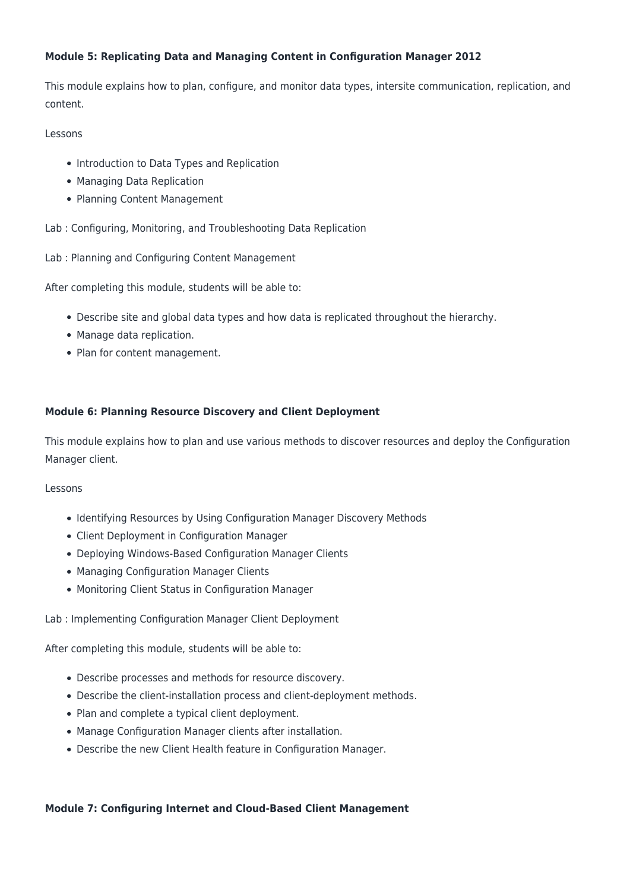#### **Module 5: Replicating Data and Managing Content in Configuration Manager 2012**

This module explains how to plan, configure, and monitor data types, intersite communication, replication, and content.

#### Lessons

- Introduction to Data Types and Replication
- Managing Data Replication
- Planning Content Management

Lab : Configuring, Monitoring, and Troubleshooting Data Replication

Lab : Planning and Configuring Content Management

After completing this module, students will be able to:

- Describe site and global data types and how data is replicated throughout the hierarchy.
- Manage data replication.
- Plan for content management.

#### **Module 6: Planning Resource Discovery and Client Deployment**

This module explains how to plan and use various methods to discover resources and deploy the Configuration Manager client.

#### Lessons

- Identifying Resources by Using Configuration Manager Discovery Methods
- Client Deployment in Configuration Manager
- Deploying Windows-Based Configuration Manager Clients
- Managing Configuration Manager Clients
- Monitoring Client Status in Configuration Manager

Lab : Implementing Configuration Manager Client Deployment

After completing this module, students will be able to:

- Describe processes and methods for resource discovery.
- Describe the client-installation process and client-deployment methods.
- Plan and complete a typical client deployment.
- Manage Configuration Manager clients after installation.
- Describe the new Client Health feature in Configuration Manager.

#### **Module 7: Configuring Internet and Cloud-Based Client Management**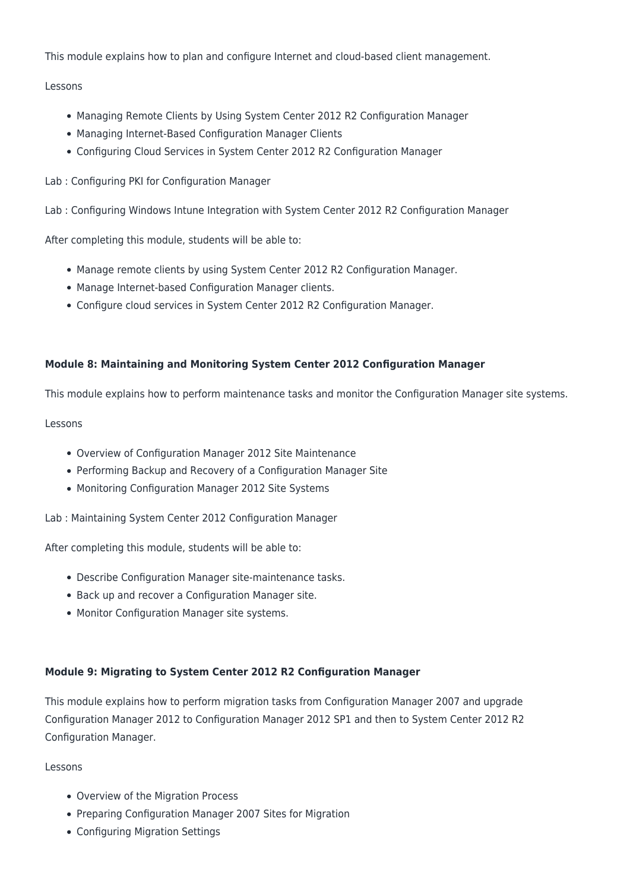This module explains how to plan and configure Internet and cloud-based client management.

#### Lessons

- Managing Remote Clients by Using System Center 2012 R2 Configuration Manager
- Managing Internet-Based Configuration Manager Clients
- Configuring Cloud Services in System Center 2012 R2 Configuration Manager
- Lab : Configuring PKI for Configuration Manager

Lab : Configuring Windows Intune Integration with System Center 2012 R2 Configuration Manager

After completing this module, students will be able to:

- Manage remote clients by using System Center 2012 R2 Configuration Manager.
- Manage Internet-based Configuration Manager clients.
- Configure cloud services in System Center 2012 R2 Configuration Manager.

#### **Module 8: Maintaining and Monitoring System Center 2012 Configuration Manager**

This module explains how to perform maintenance tasks and monitor the Configuration Manager site systems.

#### Lessons

- Overview of Configuration Manager 2012 Site Maintenance
- Performing Backup and Recovery of a Configuration Manager Site
- Monitoring Configuration Manager 2012 Site Systems

Lab : Maintaining System Center 2012 Configuration Manager

After completing this module, students will be able to:

- Describe Configuration Manager site-maintenance tasks.
- Back up and recover a Configuration Manager site.
- Monitor Configuration Manager site systems.

#### **Module 9: Migrating to System Center 2012 R2 Configuration Manager**

This module explains how to perform migration tasks from Configuration Manager 2007 and upgrade Configuration Manager 2012 to Configuration Manager 2012 SP1 and then to System Center 2012 R2 Configuration Manager.

#### Lessons

- Overview of the Migration Process
- Preparing Configuration Manager 2007 Sites for Migration
- Configuring Migration Settings